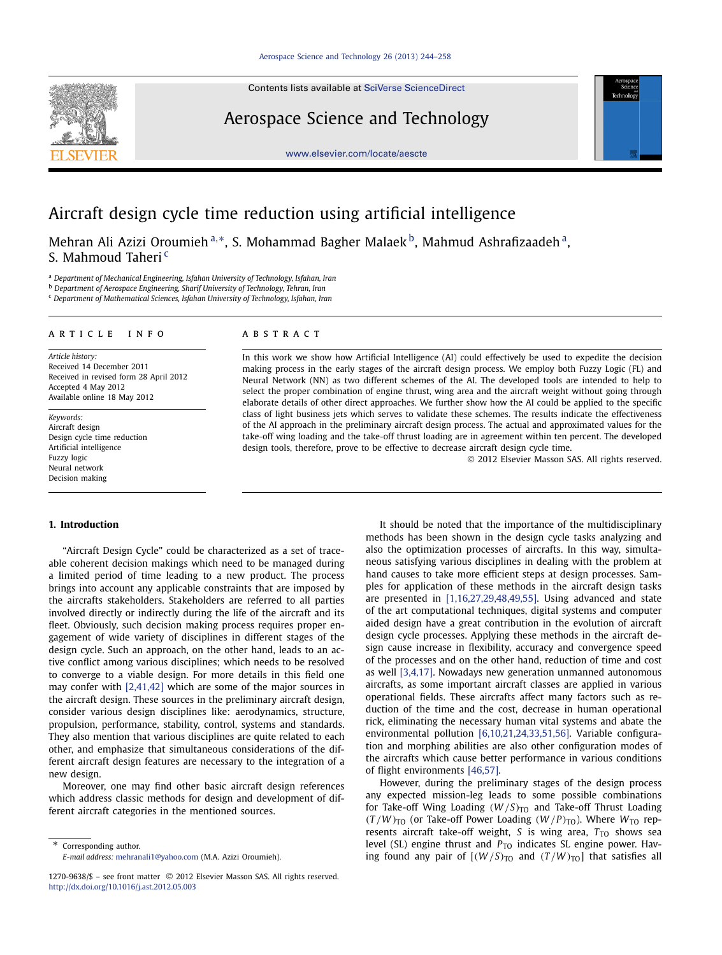Contents lists available at [SciVerse ScienceDirect](http://www.ScienceDirect.com/)



Aerospace Science and Technology



[www.elsevier.com/locate/aescte](http://www.elsevier.com/locate/aescte)

## Aircraft design cycle time reduction using artificial intelligence

Mehran Ali Azizi Oroumieh<sup>a,∗</sup>, S. Mohammad Bagher Malaek <sup>b</sup>, Mahmud Ashrafizaadeh<sup>a</sup>, S. Mahmoud Taheri<sup>c</sup>

<sup>a</sup> *Department of Mechanical Engineering, Isfahan University of Technology, Isfahan, Iran*

<sup>b</sup> *Department of Aerospace Engineering, Sharif University of Technology, Tehran, Iran*

<sup>c</sup> *Department of Mathematical Sciences, Isfahan University of Technology, Isfahan, Iran*

### article info abstract

*Article history:* Received 14 December 2011 Received in revised form 28 April 2012 Accepted 4 May 2012 Available online 18 May 2012

*Keywords:* Aircraft design Design cycle time reduction Artificial intelligence Fuzzy logic Neural network Decision making

In this work we show how Artificial Intelligence (AI) could effectively be used to expedite the decision making process in the early stages of the aircraft design process. We employ both Fuzzy Logic (FL) and Neural Network (NN) as two different schemes of the AI. The developed tools are intended to help to select the proper combination of engine thrust, wing area and the aircraft weight without going through elaborate details of other direct approaches. We further show how the AI could be applied to the specific class of light business jets which serves to validate these schemes. The results indicate the effectiveness of the AI approach in the preliminary aircraft design process. The actual and approximated values for the take-off wing loading and the take-off thrust loading are in agreement within ten percent. The developed design tools, therefore, prove to be effective to decrease aircraft design cycle time.

© 2012 Elsevier Masson SAS. All rights reserved.

### **1. Introduction**

"Aircraft Design Cycle" could be characterized as a set of traceable coherent decision makings which need to be managed during a limited period of time leading to a new product. The process brings into account any applicable constraints that are imposed by the aircrafts stakeholders. Stakeholders are referred to all parties involved directly or indirectly during the life of the aircraft and its fleet. Obviously, such decision making process requires proper engagement of wide variety of disciplines in different stages of the design cycle. Such an approach, on the other hand, leads to an active conflict among various disciplines; which needs to be resolved to converge to a viable design. For more details in this field one may confer with [\[2,41,42\]](#page--1-0) which are some of the major sources in the aircraft design. These sources in the preliminary aircraft design, consider various design disciplines like: aerodynamics, structure, propulsion, performance, stability, control, systems and standards. They also mention that various disciplines are quite related to each other, and emphasize that simultaneous considerations of the different aircraft design features are necessary to the integration of a new design.

Moreover, one may find other basic aircraft design references which address classic methods for design and development of different aircraft categories in the mentioned sources.

\* Corresponding author. *E-mail address:* [mehranali1@yahoo.com](mailto:mehranali1@yahoo.com) (M.A. Azizi Oroumieh).

It should be noted that the importance of the multidisciplinary methods has been shown in the design cycle tasks analyzing and also the optimization processes of aircrafts. In this way, simultaneous satisfying various disciplines in dealing with the problem at hand causes to take more efficient steps at design processes. Samples for application of these methods in the aircraft design tasks are presented in [\[1,16,27,29,48,49,55\].](#page--1-0) Using advanced and state of the art computational techniques, digital systems and computer aided design have a great contribution in the evolution of aircraft design cycle processes. Applying these methods in the aircraft design cause increase in flexibility, accuracy and convergence speed of the processes and on the other hand, reduction of time and cost as well [\[3,4,17\].](#page--1-0) Nowadays new generation unmanned autonomous aircrafts, as some important aircraft classes are applied in various operational fields. These aircrafts affect many factors such as reduction of the time and the cost, decrease in human operational rick, eliminating the necessary human vital systems and abate the environmental pollution [\[6,10,21,24,33,51,56\].](#page--1-0) Variable configuration and morphing abilities are also other configuration modes of the aircrafts which cause better performance in various conditions of flight environments [\[46,57\].](#page--1-0)

However, during the preliminary stages of the design process any expected mission-leg leads to some possible combinations for Take-off Wing Loading *(W /S)*TO and Take-off Thrust Loading  $(T/W)_{TQ}$  (or Take-off Power Loading  $(W/P)_{TQ}$ ). Where  $W_{TQ}$  represents aircraft take-off weight, *S* is wing area, *T*<sub>TO</sub> shows sea level (SL) engine thrust and P<sub>TO</sub> indicates SL engine power. Having found any pair of  $[(W/S)_{TQ}$  and  $(T/W)_{TQ}]$  that satisfies all

<sup>1270-9638/\$ –</sup> see front matter © 2012 Elsevier Masson SAS. All rights reserved. <http://dx.doi.org/10.1016/j.ast.2012.05.003>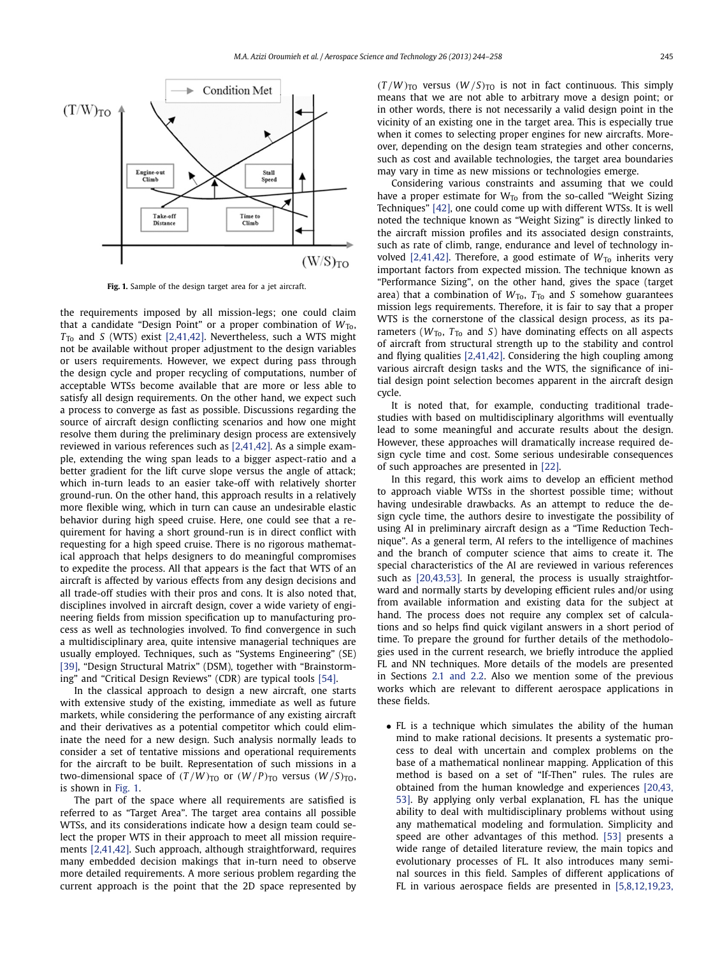

**Fig. 1.** Sample of the design target area for a jet aircraft.

the requirements imposed by all mission-legs; one could claim that a candidate "Design Point" or a proper combination of  $W_{\text{To}}$ , *T*To and *S* (WTS) exist [\[2,41,42\].](#page--1-0) Nevertheless, such a WTS might not be available without proper adjustment to the design variables or users requirements. However, we expect during pass through the design cycle and proper recycling of computations, number of acceptable WTSs become available that are more or less able to satisfy all design requirements. On the other hand, we expect such a process to converge as fast as possible. Discussions regarding the source of aircraft design conflicting scenarios and how one might resolve them during the preliminary design process are extensively reviewed in various references such as [\[2,41,42\].](#page--1-0) As a simple example, extending the wing span leads to a bigger aspect-ratio and a better gradient for the lift curve slope versus the angle of attack; which in-turn leads to an easier take-off with relatively shorter ground-run. On the other hand, this approach results in a relatively more flexible wing, which in turn can cause an undesirable elastic behavior during high speed cruise. Here, one could see that a requirement for having a short ground-run is in direct conflict with requesting for a high speed cruise. There is no rigorous mathematical approach that helps designers to do meaningful compromises to expedite the process. All that appears is the fact that WTS of an aircraft is affected by various effects from any design decisions and all trade-off studies with their pros and cons. It is also noted that, disciplines involved in aircraft design, cover a wide variety of engineering fields from mission specification up to manufacturing process as well as technologies involved. To find convergence in such a multidisciplinary area, quite intensive managerial techniques are usually employed. Techniques, such as "Systems Engineering" (SE) [\[39\],](#page--1-0) "Design Structural Matrix" (DSM), together with "Brainstorming" and "Critical Design Reviews" (CDR) are typical tools [\[54\].](#page--1-0)

In the classical approach to design a new aircraft, one starts with extensive study of the existing, immediate as well as future markets, while considering the performance of any existing aircraft and their derivatives as a potential competitor which could eliminate the need for a new design. Such analysis normally leads to consider a set of tentative missions and operational requirements for the aircraft to be built. Representation of such missions in a two-dimensional space of  $(T/W)_{TQ}$  or  $(W/P)_{TQ}$  versus  $(W/S)_{TQ}$ , is shown in Fig. 1.

The part of the space where all requirements are satisfied is referred to as "Target Area". The target area contains all possible WTSs, and its considerations indicate how a design team could select the proper WTS in their approach to meet all mission requirements [\[2,41,42\].](#page--1-0) Such approach, although straightforward, requires many embedded decision makings that in-turn need to observe more detailed requirements. A more serious problem regarding the current approach is the point that the 2D space represented by  $(T/W)_{TQ}$  versus  $(W/S)_{TQ}$  is not in fact continuous. This simply means that we are not able to arbitrary move a design point; or in other words, there is not necessarily a valid design point in the vicinity of an existing one in the target area. This is especially true when it comes to selecting proper engines for new aircrafts. Moreover, depending on the design team strategies and other concerns, such as cost and available technologies, the target area boundaries may vary in time as new missions or technologies emerge.

Considering various constraints and assuming that we could have a proper estimate for  $W_{\text{To}}$  from the so-called "Weight Sizing Techniques" [\[42\],](#page--1-0) one could come up with different WTSs. It is well noted the technique known as "Weight Sizing" is directly linked to the aircraft mission profiles and its associated design constraints, such as rate of climb, range, endurance and level of technology in-volved [\[2,41,42\].](#page--1-0) Therefore, a good estimate of  $W_{\text{To}}$  inherits very important factors from expected mission. The technique known as "Performance Sizing", on the other hand, gives the space (target area) that a combination of  $W<sub>To</sub>$ ,  $T<sub>To</sub>$  and *S* somehow guarantees mission legs requirements. Therefore, it is fair to say that a proper WTS is the cornerstone of the classical design process, as its parameters ( $W_{\text{To}}$ ,  $T_{\text{To}}$  and *S*) have dominating effects on all aspects of aircraft from structural strength up to the stability and control and flying qualities [\[2,41,42\].](#page--1-0) Considering the high coupling among various aircraft design tasks and the WTS, the significance of initial design point selection becomes apparent in the aircraft design cycle.

It is noted that, for example, conducting traditional tradestudies with based on multidisciplinary algorithms will eventually lead to some meaningful and accurate results about the design. However, these approaches will dramatically increase required design cycle time and cost. Some serious undesirable consequences of such approaches are presented in [\[22\].](#page--1-0)

In this regard, this work aims to develop an efficient method to approach viable WTSs in the shortest possible time; without having undesirable drawbacks. As an attempt to reduce the design cycle time, the authors desire to investigate the possibility of using AI in preliminary aircraft design as a "Time Reduction Technique". As a general term, AI refers to the intelligence of machines and the branch of computer science that aims to create it. The special characteristics of the AI are reviewed in various references such as [\[20,43,53\].](#page--1-0) In general, the process is usually straightforward and normally starts by developing efficient rules and/or using from available information and existing data for the subject at hand. The process does not require any complex set of calculations and so helps find quick vigilant answers in a short period of time. To prepare the ground for further details of the methodologies used in the current research, we briefly introduce the applied FL and NN techniques. More details of the models are presented in Sections [2.1 and 2.2.](#page--1-0) Also we mention some of the previous works which are relevant to different aerospace applications in these fields.

• FL is a technique which simulates the ability of the human mind to make rational decisions. It presents a systematic process to deal with uncertain and complex problems on the base of a mathematical nonlinear mapping. Application of this method is based on a set of "If-Then" rules. The rules are obtained from the human knowledge and experiences [\[20,43,](#page--1-0) [53\].](#page--1-0) By applying only verbal explanation, FL has the unique ability to deal with multidisciplinary problems without using any mathematical modeling and formulation. Simplicity and speed are other advantages of this method. [\[53\]](#page--1-0) presents a wide range of detailed literature review, the main topics and evolutionary processes of FL. It also introduces many seminal sources in this field. Samples of different applications of FL in various aerospace fields are presented in [\[5,8,12,19,23,](#page--1-0)